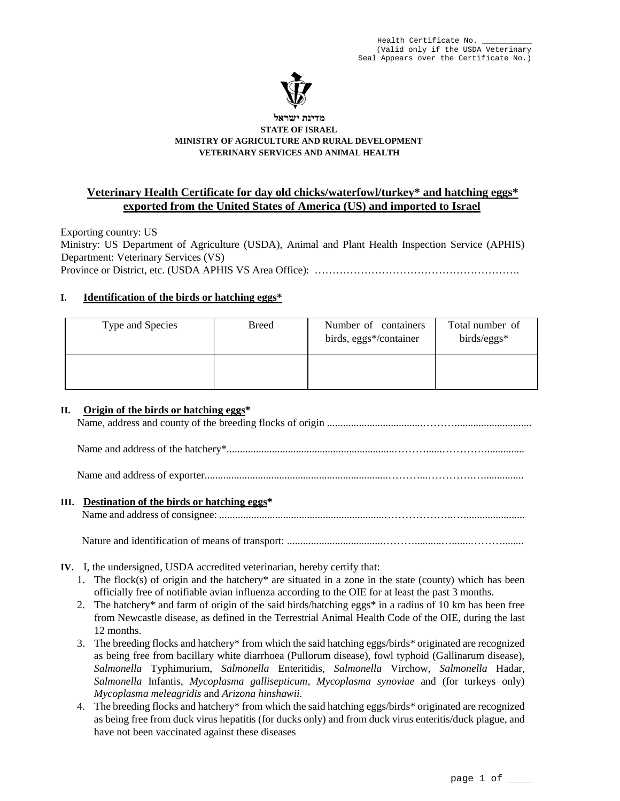

#### **מדינת ישראל STATE OF ISRAEL MINISTRY OF AGRICULTURE AND RURAL DEVELOPMENT VETERINARY SERVICES AND ANIMAL HEALTH**

# **Veterinary Health Certificate for day old chicks/waterfowl/turkey\* and hatching eggs\* exported from the United States of America (US) and imported to Israel**

Exporting country: US Ministry: US Department of Agriculture (USDA), Animal and Plant Health Inspection Service (APHIS) Department: Veterinary Services (VS) Province or District, etc. (USDA APHIS VS Area Office): ………………………………………………….

# **I. Identification of the birds or hatching eggs\***

| Type and Species | <b>Breed</b> | Number of containers<br>birds, eggs*/container | Total number of<br>birds/eggs* |
|------------------|--------------|------------------------------------------------|--------------------------------|
|                  |              |                                                |                                |

### **II. Origin of the birds or hatching eggs\***

Name, address and county of the breeding flocks of origin ....................................………............................. Name and address of the hatchery\*...............................................................………......…………............... Name and address of exporter.....................................................................………...………….…............... **III. Destination of the birds or hatching eggs\*** Name and address of consignee: ..............................................................………………..…....................... Nature and identification of means of transport: ....................................………..........….......………........

- **IV.** I, the undersigned, USDA accredited veterinarian, hereby certify that:
	- 1. The flock(s) of origin and the hatchery\* are situated in a zone in the state (county) which has been officially free of notifiable avian influenza according to the OIE for at least the past 3 months.
	- 2. The hatchery\* and farm of origin of the said birds/hatching eggs\* in a radius of 10 km has been free from Newcastle disease, as defined in the Terrestrial Animal Health Code of the OIE, during the last 12 months.
	- 3. The breeding flocks and hatchery\* from which the said hatching eggs/birds\* originated are recognized as being free from bacillary white diarrhoea (Pullorum disease), fowl typhoid (Gallinarum disease), *Salmonella* Typhimurium, *Salmonella* Enteritidis*, Salmonella* Virchow*, Salmonella* Hadar*, Salmonella* Infantis*, Mycoplasma gallisepticum, Mycoplasma synoviae* and (for turkeys only) *Mycoplasma meleagridis* and *Arizona hinshawii.*
	- 4. The breeding flocks and hatchery\* from which the said hatching eggs/birds\* originated are recognized as being free from duck virus hepatitis (for ducks only) and from duck virus enteritis/duck plague, and have not been vaccinated against these diseases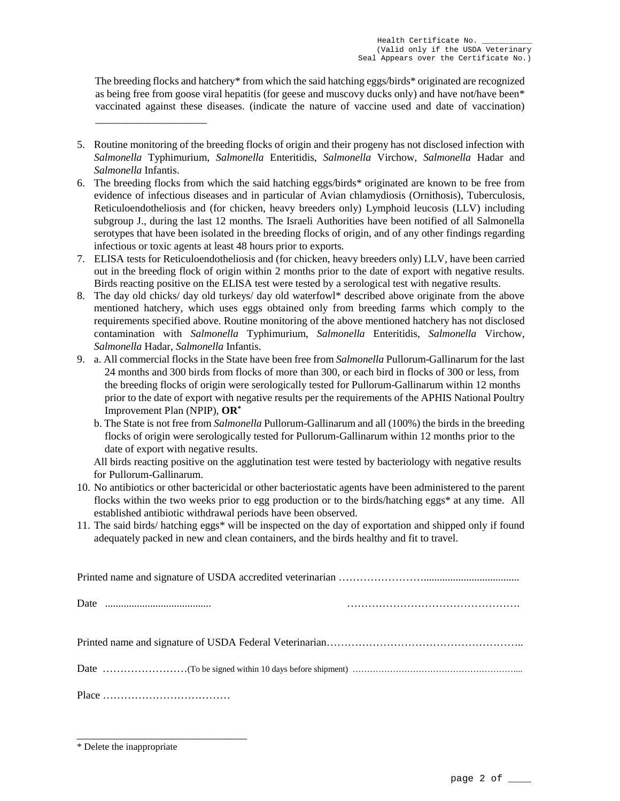The breeding flocks and hatchery\* from which the said hatching eggs/birds\* originated are recognized as being free from goose viral hepatitis (for geese and muscovy ducks only) and have not/have been\* vaccinated against these diseases. (indicate the nature of vaccine used and date of vaccination)

- 5. Routine monitoring of the breeding flocks of origin and their progeny has not disclosed infection with *Salmonella* Typhimurium, *Salmonella* Enteritidis, *Salmonella* Virchow, *Salmonella* Hadar and *Salmonella* Infantis.
- 6. The breeding flocks from which the said hatching eggs/birds\* originated are known to be free from evidence of infectious diseases and in particular of Avian chlamydiosis (Ornithosis), Tuberculosis, Reticuloendotheliosis and (for chicken, heavy breeders only) Lymphoid leucosis (LLV) including subgroup J., during the last 12 months. The Israeli Authorities have been notified of all Salmonella serotypes that have been isolated in the breeding flocks of origin, and of any other findings regarding infectious or toxic agents at least 48 hours prior to exports.
- 7. ELISA tests for Reticuloendotheliosis and (for chicken, heavy breeders only) LLV, have been carried out in the breeding flock of origin within 2 months prior to the date of export with negative results. Birds reacting positive on the ELISA test were tested by a serological test with negative results.
- 8. The day old chicks/ day old turkeys/ day old waterfowl\* described above originate from the above mentioned hatchery, which uses eggs obtained only from breeding farms which comply to the requirements specified above. Routine monitoring of the above mentioned hatchery has not disclosed contamination with *Salmonella* Typhimurium, *Salmonella* Enteritidis, *Salmonella* Virchow, *Salmonella* Hadar, *Salmonella* Infantis.
- 9. a. All commercial flocks in the State have been free from *Salmonella* Pullorum-Gallinarum for the last 24 months and 300 birds from flocks of more than 300, or each bird in flocks of 300 or less, from the breeding flocks of origin were serologically tested for Pullorum-Gallinarum within 12 months prior to the date of export with negative results per the requirements of the APHIS National Poultry Improvement Plan (NPIP), **OR\***
	- b. The State is not free from *Salmonella* Pullorum-Gallinarum and all (100%) the birds in the breeding flocks of origin were serologically tested for Pullorum-Gallinarum within 12 months prior to the date of export with negative results.

All birds reacting positive on the agglutination test were tested by bacteriology with negative results for Pullorum-Gallinarum.

- 10. No antibiotics or other bactericidal or other bacteriostatic agents have been administered to the parent flocks within the two weeks prior to egg production or to the birds/hatching eggs\* at any time. All established antibiotic withdrawal periods have been observed.
- 11. The said birds/ hatching eggs\* will be inspected on the day of exportation and shipped only if found adequately packed in new and clean containers, and the birds healthy and fit to travel.

\_\_\_\_\_\_\_\_\_\_\_\_\_\_\_\_\_\_\_\_\_\_\_\_\_\_\_\_\_\_\_\_

\_\_\_\_\_\_\_\_\_\_\_\_\_\_\_\_\_\_\_\_\_

<sup>\*</sup> Delete the inappropriate